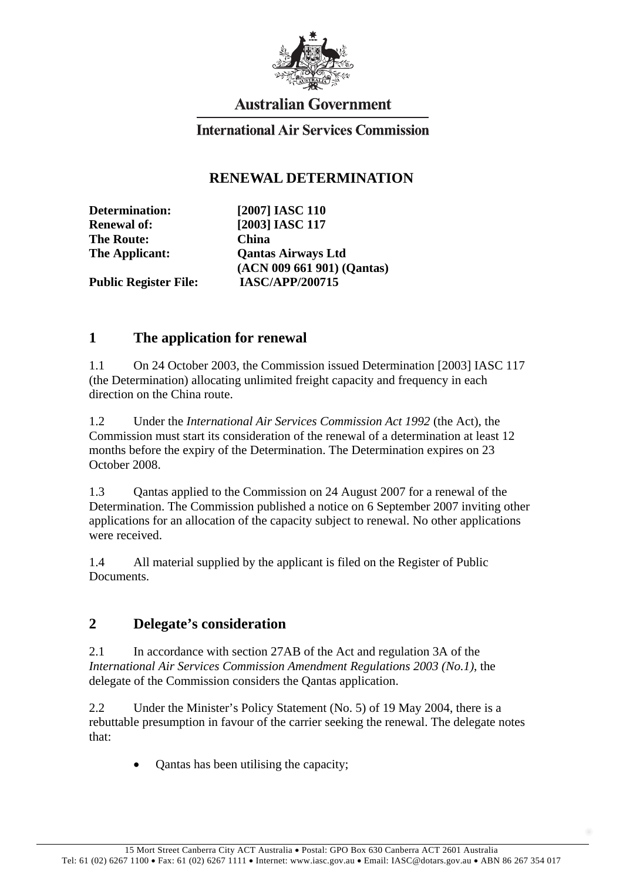

# **Australian Government**

#### **International Air Services Commission**

#### **RENEWAL DETERMINATION**

**The Route: China** 

**Determination: [2007] IASC 110 Renewal of: [2003] IASC 117 The Applicant: Qantas Airways Ltd (ACN 009 661 901) (Qantas) Public Register File: IASC/APP/200715** 

### **1 The application for renewal**

1.1 On 24 October 2003, the Commission issued Determination [2003] IASC 117 (the Determination) allocating unlimited freight capacity and frequency in each direction on the China route.

1.2 Under the *International Air Services Commission Act 1992* (the Act), the Commission must start its consideration of the renewal of a determination at least 12 months before the expiry of the Determination. The Determination expires on 23 October 2008.

1.3 Qantas applied to the Commission on 24 August 2007 for a renewal of the Determination. The Commission published a notice on 6 September 2007 inviting other applications for an allocation of the capacity subject to renewal. No other applications were received.

1.4 All material supplied by the applicant is filed on the Register of Public **Documents** 

### **2 Delegate's consideration**

2.1 In accordance with section 27AB of the Act and regulation 3A of the *International Air Services Commission Amendment Regulations 2003 (No.1)*, the delegate of the Commission considers the Qantas application.

2.2 Under the Minister's Policy Statement (No. 5) of 19 May 2004, there is a rebuttable presumption in favour of the carrier seeking the renewal. The delegate notes that:

• Qantas has been utilising the capacity;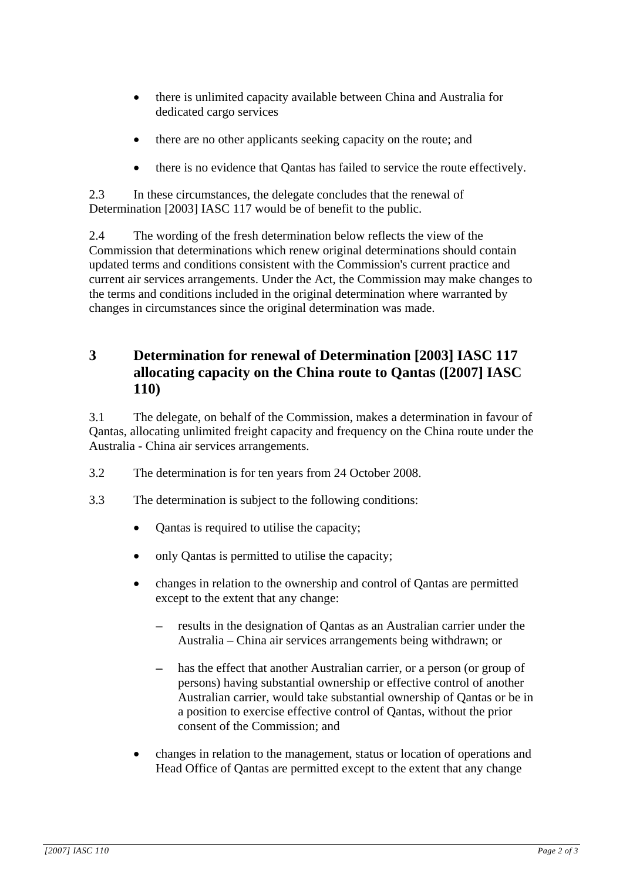- there is unlimited capacity available between China and Australia for dedicated cargo services
- there are no other applicants seeking capacity on the route; and
- there is no evidence that Qantas has failed to service the route effectively.

2.3 In these circumstances, the delegate concludes that the renewal of Determination [2003] IASC 117 would be of benefit to the public.

2.4 The wording of the fresh determination below reflects the view of the Commission that determinations which renew original determinations should contain updated terms and conditions consistent with the Commission's current practice and current air services arrangements. Under the Act, the Commission may make changes to the terms and conditions included in the original determination where warranted by changes in circumstances since the original determination was made.

## **3 Determination for renewal of Determination [2003] IASC 117 allocating capacity on the China route to Qantas ([2007] IASC 110)**

3.1 The delegate, on behalf of the Commission, makes a determination in favour of Qantas, allocating unlimited freight capacity and frequency on the China route under the Australia - China air services arrangements.

- 3.2 The determination is for ten years from 24 October 2008.
- 3.3 The determination is subject to the following conditions:
	- Qantas is required to utilise the capacity;
	- only Qantas is permitted to utilise the capacity;
	- changes in relation to the ownership and control of Qantas are permitted except to the extent that any change:
		- − results in the designation of Qantas as an Australian carrier under the Australia – China air services arrangements being withdrawn; or
		- has the effect that another Australian carrier, or a person (or group of persons) having substantial ownership or effective control of another Australian carrier, would take substantial ownership of Qantas or be in a position to exercise effective control of Qantas, without the prior consent of the Commission; and
	- changes in relation to the management, status or location of operations and Head Office of Qantas are permitted except to the extent that any change